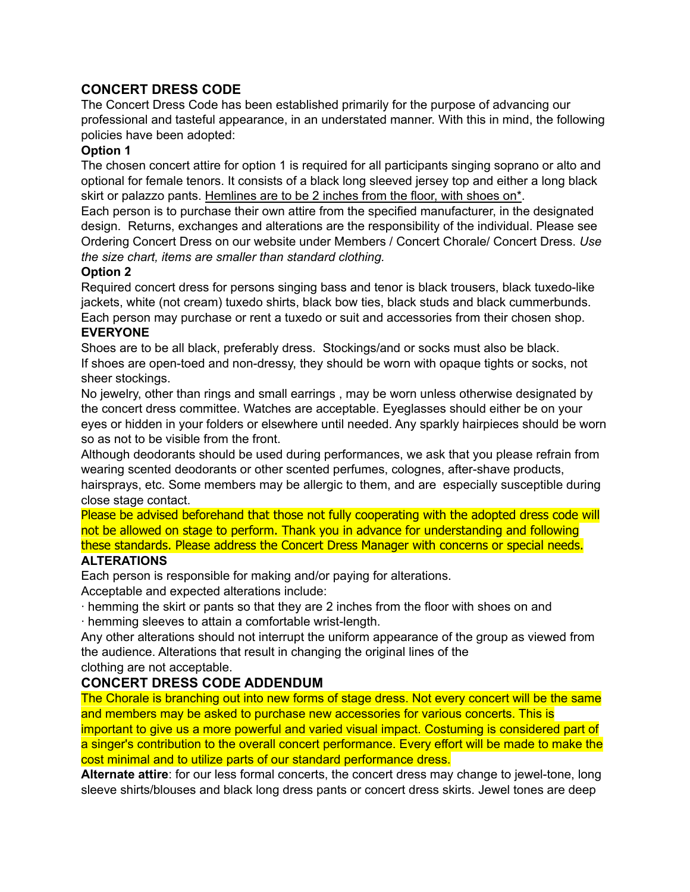# **CONCERT DRESS CODE**

The Concert Dress Code has been established primarily for the purpose of advancing our professional and tasteful appearance, in an understated manner. With this in mind, the following policies have been adopted:

### **Option 1**

The chosen concert attire for option 1 is required for all participants singing soprano or alto and optional for female tenors. It consists of a black long sleeved jersey top and either a long black skirt or palazzo pants. Hemlines are to be 2 inches from the floor, with shoes on\*.

Each person is to purchase their own attire from the specified manufacturer, in the designated design. Returns, exchanges and alterations are the responsibility of the individual. Please see Ordering Concert Dress on our website under Members / Concert Chorale/ Concert Dress. *Use the size chart, items are smaller than standard clothing.*

### **Option 2**

Required concert dress for persons singing bass and tenor is black trousers, black tuxedo-like jackets, white (not cream) tuxedo shirts, black bow ties, black studs and black cummerbunds. Each person may purchase or rent a tuxedo or suit and accessories from their chosen shop.

#### **EVERYONE**

Shoes are to be all black, preferably dress. Stockings/and or socks must also be black. If shoes are open-toed and non-dressy, they should be worn with opaque tights or socks, not sheer stockings.

No jewelry, other than rings and small earrings , may be worn unless otherwise designated by the concert dress committee. Watches are acceptable. Eyeglasses should either be on your eyes or hidden in your folders or elsewhere until needed. Any sparkly hairpieces should be worn so as not to be visible from the front.

Although deodorants should be used during performances, we ask that you please refrain from wearing scented deodorants or other scented perfumes, colognes, after-shave products, hairsprays, etc. Some members may be allergic to them, and are especially susceptible during close stage contact.

Please be advised beforehand that those not fully cooperating with the adopted dress code will not be allowed on stage to perform. Thank you in advance for understanding and following these standards. Please address the Concert Dress Manager with concerns or special needs.

## **ALTERATIONS**

Each person is responsible for making and/or paying for alterations.

Acceptable and expected alterations include:

- ∙ hemming the skirt or pants so that they are 2 inches from the floor with shoes on and
- ∙ hemming sleeves to attain a comfortable wrist-length.

Any other alterations should not interrupt the uniform appearance of the group as viewed from the audience. Alterations that result in changing the original lines of the clothing are not acceptable.

## **CONCERT DRESS CODE ADDENDUM**

The Chorale is branching out into new forms of stage dress. Not every concert will be the same and members may be asked to purchase new accessories for various concerts. This is important to give us a more powerful and varied visual impact. Costuming is considered part of a singer's contribution to the overall concert performance. Every effort will be made to make the cost minimal and to utilize parts of our standard performance dress.

**Alternate attire**: for our less formal concerts, the concert dress may change to jewel-tone, long sleeve shirts/blouses and black long dress pants or concert dress skirts. Jewel tones are deep